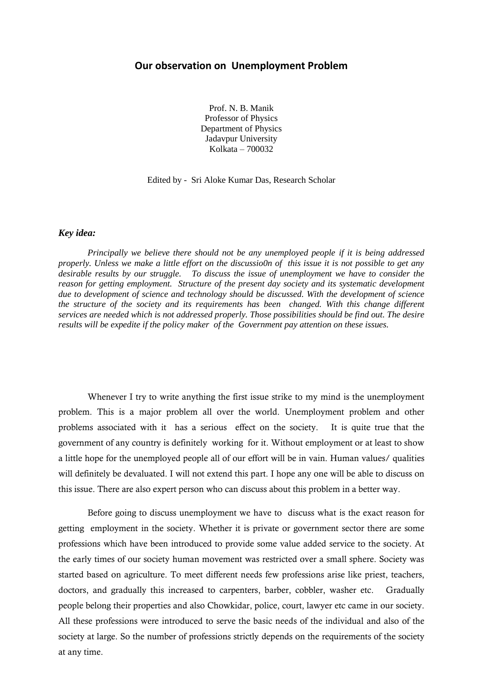## **Our observation on Unemployment Problem**

Prof. N. B. Manik Professor of Physics Department of Physics Jadavpur University Kolkata – 700032

Edited by - Sri Aloke Kumar Das, Research Scholar

## *Key idea:*

*Principally we believe there should not be any unemployed people if it is being addressed properly. Unless we make a little effort on the discussio0n of this issue it is not possible to get any desirable results by our struggle. To discuss the issue of unemployment we have to consider the reason for getting employment. Structure of the present day society and its systematic development due to development of science and technology should be discussed. With the development of science the structure of the society and its requirements has been changed. With this change different services are needed which is not addressed properly. Those possibilities should be find out. The desire results will be expedite if the policy maker of the Government pay attention on these issues.* 

Whenever I try to write anything the first issue strike to my mind is the unemployment problem. This is a major problem all over the world. Unemployment problem and other problems associated with it has a serious effect on the society. It is quite true that the government of any country is definitely working for it. Without employment or at least to show a little hope for the unemployed people all of our effort will be in vain. Human values/ qualities will definitely be devaluated. I will not extend this part. I hope any one will be able to discuss on this issue. There are also expert person who can discuss about this problem in a better way.

Before going to discuss unemployment we have to discuss what is the exact reason for getting employment in the society. Whether it is private or government sector there are some professions which have been introduced to provide some value added service to the society. At the early times of our society human movement was restricted over a small sphere. Society was started based on agriculture. To meet different needs few professions arise like priest, teachers, doctors, and gradually this increased to carpenters, barber, cobbler, washer etc. Gradually people belong their properties and also Chowkidar, police, court, lawyer etc came in our society. All these professions were introduced to serve the basic needs of the individual and also of the society at large. So the number of professions strictly depends on the requirements of the society at any time.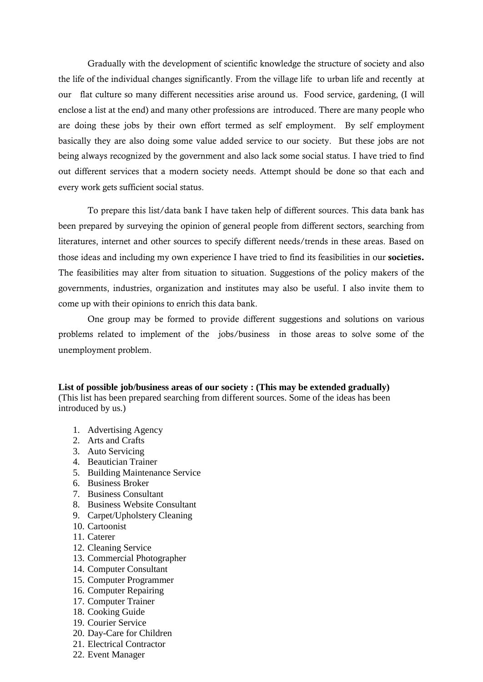Gradually with the development of scientific knowledge the structure of society and also the life of the individual changes significantly. From the village life to urban life and recently at our flat culture so many different necessities arise around us. Food service, gardening, (I will enclose a list at the end) and many other professions are introduced. There are many people who are doing these jobs by their own effort termed as self employment. By self employment basically they are also doing some value added service to our society. But these jobs are not being always recognized by the government and also lack some social status. I have tried to find out different services that a modern society needs. Attempt should be done so that each and every work gets sufficient social status.

To prepare this list/data bank I have taken help of different sources. This data bank has been prepared by surveying the opinion of general people from different sectors, searching from literatures, internet and other sources to specify different needs/trends in these areas. Based on those ideas and including my own experience I have tried to find its feasibilities in our **societies.** The feasibilities may alter from situation to situation. Suggestions of the policy makers of the governments, industries, organization and institutes may also be useful. I also invite them to come up with their opinions to enrich this data bank.

One group may be formed to provide different suggestions and solutions on various problems related to implement of the jobs/business in those areas to solve some of the unemployment problem.

**List of possible job/business areas of our society : (This may be extended gradually)**  (This list has been prepared searching from different sources. Some of the ideas has been introduced by us.)

- 1. Advertising Agency
- 2. Arts and Crafts
- 3. Auto Servicing
- 4. Beautician Trainer
- 5. Building Maintenance Service
- 6. Business Broker
- 7. Business Consultant
- 8. Business Website Consultant
- 9. Carpet/Upholstery Cleaning
- 10. Cartoonist
- 11. Caterer
- 12. Cleaning Service
- 13. Commercial Photographer
- 14. Computer Consultant
- 15. Computer Programmer
- 16. Computer Repairing
- 17. Computer Trainer
- 18. Cooking Guide
- 19. Courier Service
- 20. Day-Care for Children
- 21. Electrical Contractor
- 22. Event Manager